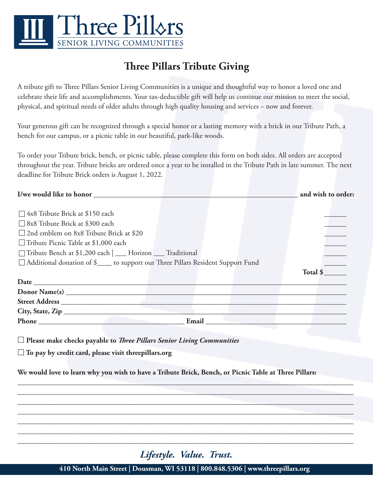

## **Three Pillars Tribute Giving**

A tribute gift to Three Pillars Senior Living Communities is a unique and thoughtful way to honor a loved one and celebrate their life and accomplishments. Your tax-deductible gift will help us continue our mission to meet the social, physical, and spiritual needs of older adults through high quality housing and services – now and forever.

Your generous gift can be recognized through a special honor or a lasting memory with a brick in our Tribute Path, a bench for our campus, or a picnic table in our beautiful, park-like woods.

To order your Tribute brick, bench, or picnic table, please complete this form on both sides. All orders are accepted throughout the year. Tribute bricks are ordered once a year to be installed in the Tribute Path in late summer. The next deadline for Tribute Brick orders is August 1, 2022.

| I/we would like to honor head and the second state of the second state of the second state of the second state of the second state of the second state of the second state of the second state of the second state of the seco | and wish to order:         |
|--------------------------------------------------------------------------------------------------------------------------------------------------------------------------------------------------------------------------------|----------------------------|
|                                                                                                                                                                                                                                |                            |
| $\Box$ 4x8 Tribute Brick at \$150 each                                                                                                                                                                                         |                            |
| □ 8x8 Tribute Brick at \$300 each                                                                                                                                                                                              |                            |
| $\Box$ 2nd emblem on 8x8 Tribute Brick at \$20                                                                                                                                                                                 |                            |
| $\Box$ Tribute Picnic Table at \$1,000 each                                                                                                                                                                                    |                            |
| □ Tribute Bench at \$1,200 each   __ Horizon __ Traditional                                                                                                                                                                    |                            |
| □ Additional donation of \$_____ to support our Three Pillars Resident Support Fund                                                                                                                                            |                            |
|                                                                                                                                                                                                                                | Total $\frac{\sqrt{2}}{2}$ |
|                                                                                                                                                                                                                                |                            |
|                                                                                                                                                                                                                                |                            |
|                                                                                                                                                                                                                                |                            |
|                                                                                                                                                                                                                                |                            |
| Phone Email Email Email Email Email Email Email Email Email Email Email Albert Street and Street Association of the United Street Association of the United Street Association of the United Street Association of the United  |                            |
|                                                                                                                                                                                                                                |                            |
| $\Box$ Place make checks povable to <i>Thue Pillang Senior Lining Communities</i>                                                                                                                                              |                            |

 **Please make checks payable to** *Three Pillars Senior Living Communities*

 **To pay by credit card, please visit threepillars.org**

**We would love to learn why you wish to have a Tribute Brick, Bench, or Picnic Table at Three Pillars:**

*Lifestyle. Value. Trust.*

**\_\_\_\_\_\_\_\_\_\_\_\_\_\_\_\_\_\_\_\_\_\_\_\_\_\_\_\_\_\_\_\_\_\_\_\_\_\_\_\_\_\_\_\_\_\_\_\_\_\_\_\_\_\_\_\_\_\_\_\_\_\_\_\_\_\_\_\_\_\_\_\_\_\_\_\_\_\_\_\_\_\_\_\_\_\_\_\_\_\_\_\_ \_\_\_\_\_\_\_\_\_\_\_\_\_\_\_\_\_\_\_\_\_\_\_\_\_\_\_\_\_\_\_\_\_\_\_\_\_\_\_\_\_\_\_\_\_\_\_\_\_\_\_\_\_\_\_\_\_\_\_\_\_\_\_\_\_\_\_\_\_\_\_\_\_\_\_\_\_\_\_\_\_\_\_\_\_\_\_\_\_\_\_\_ \_\_\_\_\_\_\_\_\_\_\_\_\_\_\_\_\_\_\_\_\_\_\_\_\_\_\_\_\_\_\_\_\_\_\_\_\_\_\_\_\_\_\_\_\_\_\_\_\_\_\_\_\_\_\_\_\_\_\_\_\_\_\_\_\_\_\_\_\_\_\_\_\_\_\_\_\_\_\_\_\_\_\_\_\_\_\_\_\_\_\_\_ \_\_\_\_\_\_\_\_\_\_\_\_\_\_\_\_\_\_\_\_\_\_\_\_\_\_\_\_\_\_\_\_\_\_\_\_\_\_\_\_\_\_\_\_\_\_\_\_\_\_\_\_\_\_\_\_\_\_\_\_\_\_\_\_\_\_\_\_\_\_\_\_\_\_\_\_\_\_\_\_\_\_\_\_\_\_\_\_\_\_\_\_ \_\_\_\_\_\_\_\_\_\_\_\_\_\_\_\_\_\_\_\_\_\_\_\_\_\_\_\_\_\_\_\_\_\_\_\_\_\_\_\_\_\_\_\_\_\_\_\_\_\_\_\_\_\_\_\_\_\_\_\_\_\_\_\_\_\_\_\_\_\_\_\_\_\_\_\_\_\_\_\_\_\_\_\_\_\_\_\_\_\_\_\_ \_\_\_\_\_\_\_\_\_\_\_\_\_\_\_\_\_\_\_\_\_\_\_\_\_\_\_\_\_\_\_\_\_\_\_\_\_\_\_\_\_\_\_\_\_\_\_\_\_\_\_\_\_\_\_\_\_\_\_\_\_\_\_\_\_\_\_\_\_\_\_\_\_\_\_\_\_\_\_\_\_\_\_\_\_\_\_\_\_\_\_\_ \_\_\_\_\_\_\_\_\_\_\_\_\_\_\_\_\_\_\_\_\_\_\_\_\_\_\_\_\_\_\_\_\_\_\_\_\_\_\_\_\_\_\_\_\_\_\_\_\_\_\_\_\_\_\_\_\_\_\_\_\_\_\_\_\_\_\_\_\_\_\_\_\_\_\_\_\_\_\_\_\_\_\_\_\_\_\_\_\_\_\_\_**

**410 North Main Street | Dousman, WI 53118 | 800.848.5306 | www.threepillars.org**